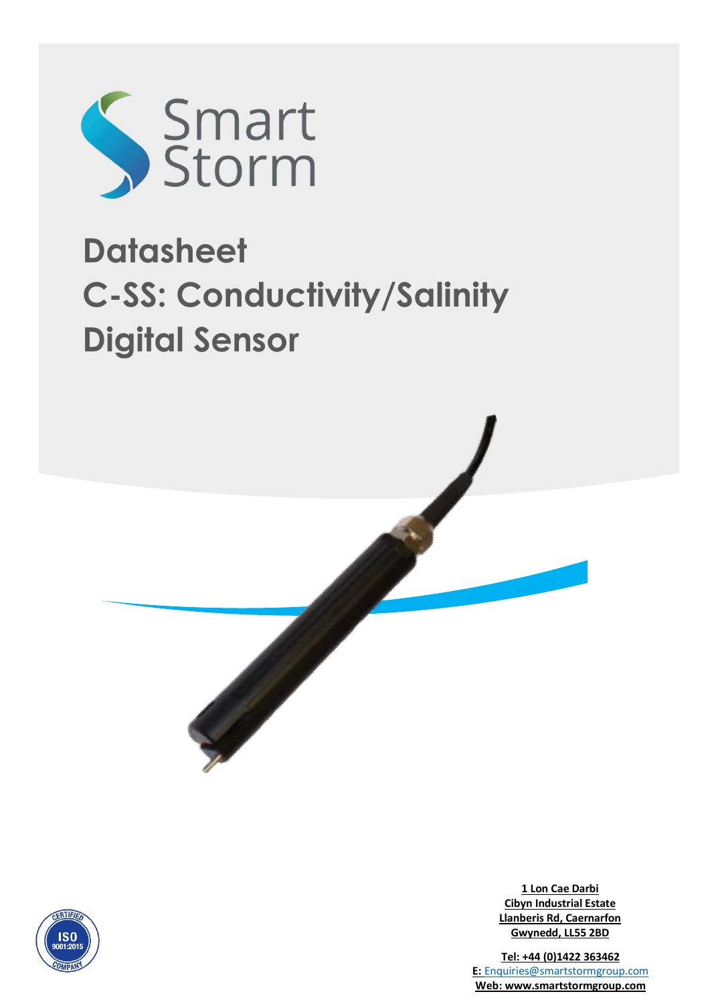

# **Datasheet C-SS: Conductivity/Salinity Digital Sensor**



**1 Lon Cae Darbi Cibyn Industrial Estate Llanberis Rd, Caernarfon Gwynedd, LL55 2BD**

**Tel: +44 (0)1422 363462 E:** [Enquiries@smartstormgroup.com](mailto:Enquiries@smartstormgroup.com) **Web: www.smartstormgroup.com**

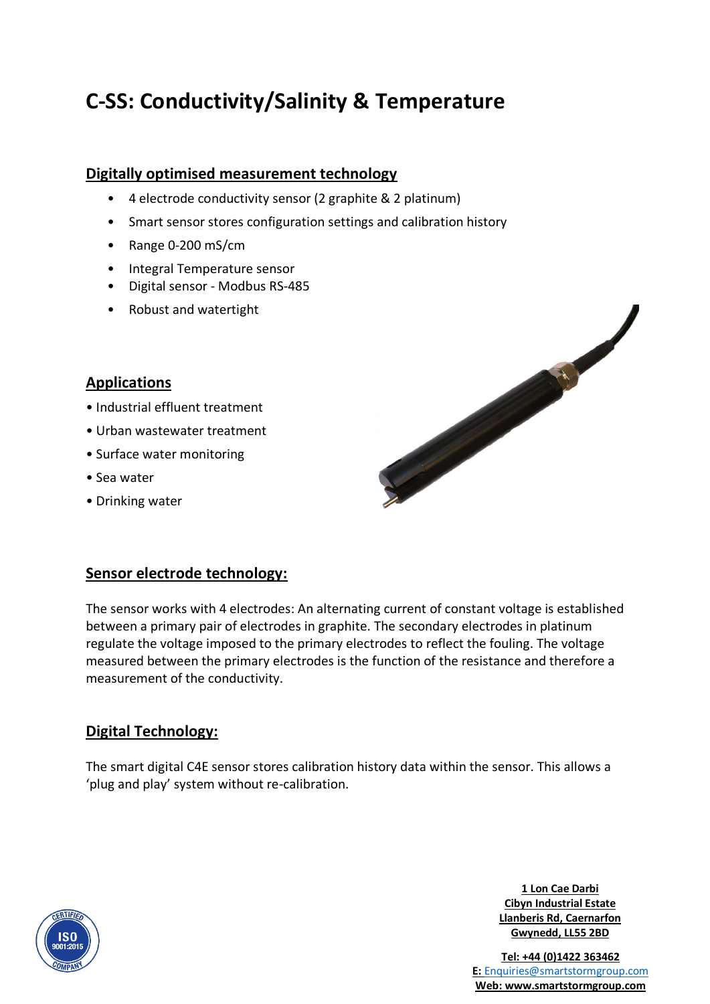# **C-SS: Conductivity/Salinity & Temperature**

#### **Digitally optimised measurement technology**

- 4 electrode conductivity sensor (2 graphite & 2 platinum)
- Smart sensor stores configuration settings and calibration history
- Range 0-200 mS/cm
- Integral Temperature sensor
- Digital sensor Modbus RS-485
- Robust and watertight

#### **Applications**

- Industrial effluent treatment
- Urban wastewater treatment
- Surface water monitoring
- Sea water
- Drinking water

#### **Sensor electrode technology:**

The sensor works with 4 electrodes: An alternating current of constant voltage is established between a primary pair of electrodes in graphite. The secondary electrodes in platinum regulate the voltage imposed to the primary electrodes to reflect the fouling. The voltage measured between the primary electrodes is the function of the resistance and therefore a measurement of the conductivity.

### **Digital Technology:**

The smart digital C4E sensor stores calibration history data within the sensor. This allows a 'plug and play' system without re-calibration.

> **1 Lon Cae Darbi Cibyn Industrial Estate Llanberis Rd, Caernarfon Gwynedd, LL55 2BD**

**Tel: +44 (0)1422 363462 E:** [Enquiries@smartstormgroup.com](mailto:Enquiries@smartstormgroup.com) **Web: www.smartstormgroup.com**